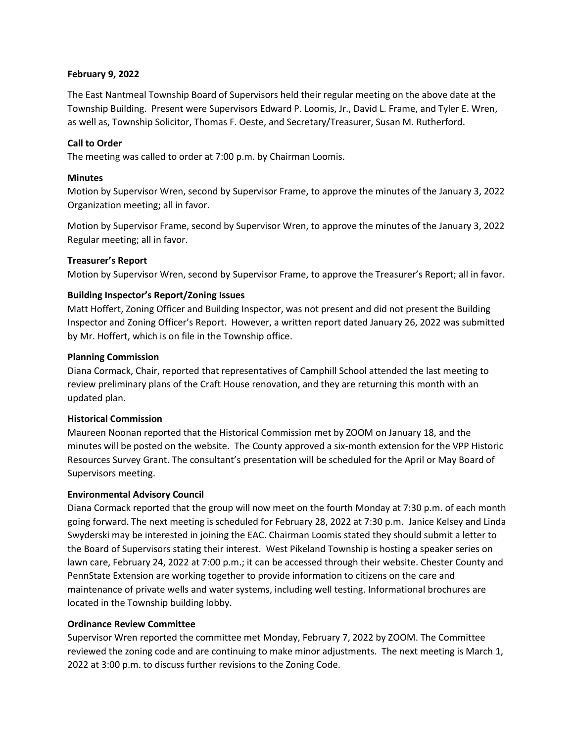## **February 9, 2022**

The East Nantmeal Township Board of Supervisors held their regular meeting on the above date at the Township Building. Present were Supervisors Edward P. Loomis, Jr., David L. Frame, and Tyler E. Wren, as well as, Township Solicitor, Thomas F. Oeste, and Secretary/Treasurer, Susan M. Rutherford.

## **Call to Order**

The meeting was called to order at 7:00 p.m. by Chairman Loomis.

## **Minutes**

Motion by Supervisor Wren, second by Supervisor Frame, to approve the minutes of the January 3, 2022 Organization meeting; all in favor.

Motion by Supervisor Frame, second by Supervisor Wren, to approve the minutes of the January 3, 2022 Regular meeting; all in favor.

## **Treasurer's Report**

Motion by Supervisor Wren, second by Supervisor Frame, to approve the Treasurer's Report; all in favor.

# **Building Inspector's Report/Zoning Issues**

Matt Hoffert, Zoning Officer and Building Inspector, was not present and did not present the Building Inspector and Zoning Officer's Report. However, a written report dated January 26, 2022 was submitted by Mr. Hoffert, which is on file in the Township office.

## **Planning Commission**

Diana Cormack, Chair, reported that representatives of Camphill School attended the last meeting to review preliminary plans of the Craft House renovation, and they are returning this month with an updated plan.

### **Historical Commission**

Maureen Noonan reported that the Historical Commission met by ZOOM on January 18, and the minutes will be posted on the website. The County approved a six-month extension for the VPP Historic Resources Survey Grant. The consultant's presentation will be scheduled for the April or May Board of Supervisors meeting.

# **Environmental Advisory Council**

Diana Cormack reported that the group will now meet on the fourth Monday at 7:30 p.m. of each month going forward. The next meeting is scheduled for February 28, 2022 at 7:30 p.m. Janice Kelsey and Linda Swyderski may be interested in joining the EAC. Chairman Loomis stated they should submit a letter to the Board of Supervisors stating their interest. West Pikeland Township is hosting a speaker series on lawn care, February 24, 2022 at 7:00 p.m.; it can be accessed through their website. Chester County and PennState Extension are working together to provide information to citizens on the care and maintenance of private wells and water systems, including well testing. Informational brochures are located in the Township building lobby.

# **Ordinance Review Committee**

Supervisor Wren reported the committee met Monday, February 7, 2022 by ZOOM. The Committee reviewed the zoning code and are continuing to make minor adjustments. The next meeting is March 1, 2022 at 3:00 p.m. to discuss further revisions to the Zoning Code.